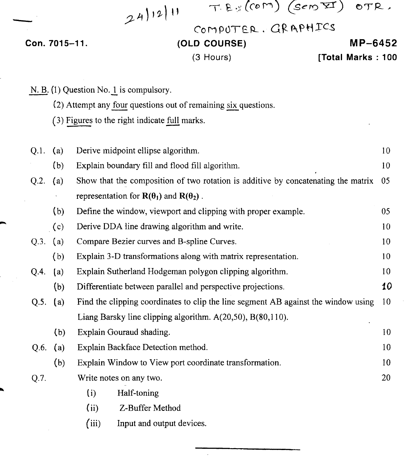| 24)12 |
|-------|
|-------|

 $T.E.S(COM)(SemST)$  OTR.

COMPUTER. GRAPHICS

### Con. 7015-11.

## **(OLD COURSE)**

### (3 Hours)

**MP-6452**

**[Total Marks : 100**

| $N. B. (1)$ Question No. 1 is compulsory. |             |                                                                  |                                                                                    |    |  |  |
|-------------------------------------------|-------------|------------------------------------------------------------------|------------------------------------------------------------------------------------|----|--|--|
|                                           |             | (2) Attempt any four questions out of remaining six questions.   |                                                                                    |    |  |  |
|                                           |             | (3) Figures to the right indicate full marks.                    |                                                                                    |    |  |  |
|                                           |             |                                                                  |                                                                                    |    |  |  |
|                                           | Q.1.        | (a)                                                              | Derive midpoint ellipse algorithm.                                                 | 10 |  |  |
|                                           |             | (b)                                                              | Explain boundary fill and flood fill algorithm.                                    | 10 |  |  |
|                                           | Q.2.        | (a)                                                              | Show that the composition of two rotation is additive by concatenating the matrix  | 05 |  |  |
|                                           |             |                                                                  | representation for $R(\theta_1)$ and $R(\theta_2)$ .                               |    |  |  |
|                                           |             | (b)                                                              | Define the window, viewport and clipping with proper example.                      | 05 |  |  |
|                                           |             | (c)                                                              | Derive DDA line drawing algorithm and write.                                       | 10 |  |  |
|                                           | Q.3.        | (a)                                                              | Compare Bezier curves and B-spline Curves.                                         | 10 |  |  |
|                                           |             | (b)                                                              | Explain 3-D transformations along with matrix representation.                      | 10 |  |  |
|                                           | Q.4.<br>(a) |                                                                  | Explain Sutherland Hodgeman polygon clipping algorithm.                            | 10 |  |  |
|                                           |             | (b)                                                              | Differentiate between parallel and perspective projections.                        | 10 |  |  |
|                                           | $Q.5.$ (a)  |                                                                  | Find the clipping coordinates to clip the line segment AB against the window using | 10 |  |  |
|                                           |             | Liang Barsky line clipping algorithm. $A(20,50)$ , $B(80,110)$ . |                                                                                    |    |  |  |
|                                           |             | (b)                                                              | Explain Gouraud shading.                                                           | 10 |  |  |
|                                           | Q.6.        | (a)                                                              | Explain Backface Detection method.                                                 | 10 |  |  |
|                                           |             | (b)                                                              | Explain Window to View port coordinate transformation.                             | 10 |  |  |
|                                           | Q.7.        |                                                                  | Write notes on any two.                                                            | 20 |  |  |
|                                           |             |                                                                  | Half-toning<br>(i)                                                                 |    |  |  |
|                                           |             |                                                                  | (i)<br>Z-Buffer Method                                                             |    |  |  |
|                                           |             |                                                                  | (iii)<br>Input and output devices.                                                 |    |  |  |
|                                           |             |                                                                  |                                                                                    |    |  |  |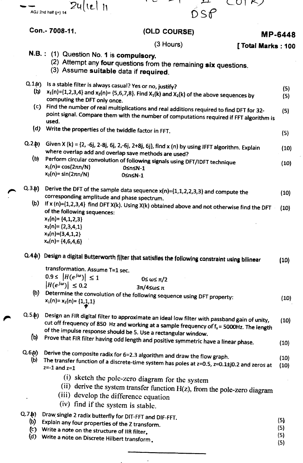|                                                | 24/12/11<br>AGJ 2nd half (j+) 14                                                                                                                                                                         | ᅭ<br>LUI KI<br>DSP                                                                                                                                                                                                                                                     |                          |  |
|------------------------------------------------|----------------------------------------------------------------------------------------------------------------------------------------------------------------------------------------------------------|------------------------------------------------------------------------------------------------------------------------------------------------------------------------------------------------------------------------------------------------------------------------|--------------------------|--|
|                                                | Con.- 7008-11.                                                                                                                                                                                           | (OLD COURSE)                                                                                                                                                                                                                                                           | <b>MP-6448</b>           |  |
|                                                |                                                                                                                                                                                                          | (3 Hours)<br>[ Total Marks: 100                                                                                                                                                                                                                                        |                          |  |
|                                                | N.B.: (1) Question No. 1 is compulsory.<br>(3) Assume suitable data if required.                                                                                                                         | (2) Attempt any four questions from the remaining six questions.                                                                                                                                                                                                       |                          |  |
| Q.1(a)<br>(b)                                  | Is a stable filter is always casual? Yes or no, justify?<br>computing the DFT only once.                                                                                                                 | $x_1(n)=\{1,2,3,4\}$ and $x_2(n)=\{5,6,7,8\}$ . Find $X_1(k)$ and $X_2(k)$ of the above sequences by                                                                                                                                                                   | (5)<br>(5)               |  |
|                                                | (c) Find the number of real multiplications and real additions required to find DFT for 32-<br>point signal. Compare them with the number of computations required if FFT algorithm is<br>used.          |                                                                                                                                                                                                                                                                        |                          |  |
| (d)                                            | Write the properties of the twiddle factor in FFT.                                                                                                                                                       |                                                                                                                                                                                                                                                                        | (5)                      |  |
| $Q.2$ <b>b</b> )                               | where overlap add and overlap save methods are used?                                                                                                                                                     | Given $X(k) = \{2, -6j, 2-8j, 6j, 2, -6j, 2+8j, 6j\}$ , find $x(n)$ by using IFFT algorithm. Explain                                                                                                                                                                   | (10)                     |  |
| (b)                                            | $x_1(n) = \cos(2\pi n/N)$<br>$x_2(n)$ = sin(2 $\pi n/N$ )                                                                                                                                                | Perform circular convolution of following signals using DFT/IDFT technique<br>0≤n≤N-1<br>0≤n≤N-1                                                                                                                                                                       | (10)                     |  |
| $Q.3.$ $p)$                                    | corresponding amplitude and phase spectrum.                                                                                                                                                              | Derive the DFT of the sample data sequence $x(n) = \{1, 1, 2, 2, 3, 3\}$ and compute the                                                                                                                                                                               | (10)                     |  |
| (b)                                            | of the following sequences:<br>$x_1(n) = \{4,1,2,3\}$<br>$x_2(n) = (2,3,4,1)$<br>$x_3(n) = (3, 4, 1, 2)$<br>$x_4(n) = {4,6,4,6}$                                                                         | If x (n)={1,2,3,4} find DFT X(k). Using X(k) obtained above and not otherwise find the DFT                                                                                                                                                                             | (10)                     |  |
|                                                |                                                                                                                                                                                                          | Q.44) Design a digital Butterworth filter that satisfies the following constraint using bilinear                                                                                                                                                                       | (10)                     |  |
|                                                | transformation. Assume T=1 sec.<br>$0.9 \leq  H(e^{j\omega})  \leq 1$<br>$ H(e^{j\omega})  \leq 0.2$                                                                                                     | 0 ≤ ω ≤ π/2                                                                                                                                                                                                                                                            |                          |  |
| (b)                                            | $x_1(n) = x_2(n) = \{1,1,1\}$                                                                                                                                                                            | 3π/4≤ω≤ π<br>Determine the convolution of the following sequence using DFT property:                                                                                                                                                                                   | (10)                     |  |
| $Q.5.$ $($ a                                   |                                                                                                                                                                                                          | Design an FIR digital filter to approximate an ideal low filter with passband gain of unity,<br>cut off frequency of 850 Hz and working at a sample frequency of f <sub>s</sub> = 5000Hz. The length<br>of the impulse response should be 5. Use a rectangular window. | (10)                     |  |
| (b)                                            |                                                                                                                                                                                                          | Prove that FIR filter having odd length and positive symmetric have a linear phase.                                                                                                                                                                                    | (10)                     |  |
| Q.6(a)<br>(b)                                  | $z=-1$ and $z=1$                                                                                                                                                                                         | Derive the composite radix for 6=2.3 algorithm and draw the flow graph.<br>The transfer function of a discrete-time system has poles at z=0.5, z=0.1±j0.2 and zeros at                                                                                                 | (10)<br>(10)             |  |
|                                                | (iii) develop the difference equation<br>(iv) find if the system is stable.                                                                                                                              | (i) sketch the pole-zero diagram for the system<br>(ii) derive the system transfer function H(z), from the pole-zero diagram                                                                                                                                           |                          |  |
| $Q.7$ $(h)$<br>(b)<br>$\left( c\right)$<br>(d) | Draw single 2 radix butterfly for DIT-FFT and DIF-FFT.<br>Explain any four properties of the Z transform.<br>Write a note on the structure of IIR filter.<br>Write a note on Discrete Hilbert transform. |                                                                                                                                                                                                                                                                        | (5)<br>(5)<br>(5)<br>(5) |  |

 $\label{eq:2.1} \frac{1}{2} \int_{\mathbb{R}^3} \frac{1}{\sqrt{2}} \, \frac{1}{\sqrt{2}} \, \frac{1}{\sqrt{2}} \, \frac{1}{\sqrt{2}} \, \frac{1}{\sqrt{2}} \, \frac{1}{\sqrt{2}} \, \frac{1}{\sqrt{2}} \, \frac{1}{\sqrt{2}} \, \frac{1}{\sqrt{2}} \, \frac{1}{\sqrt{2}} \, \frac{1}{\sqrt{2}} \, \frac{1}{\sqrt{2}} \, \frac{1}{\sqrt{2}} \, \frac{1}{\sqrt{2}} \, \frac{1}{\sqrt{2}} \, \frac{1}{\sqrt{2}} \,$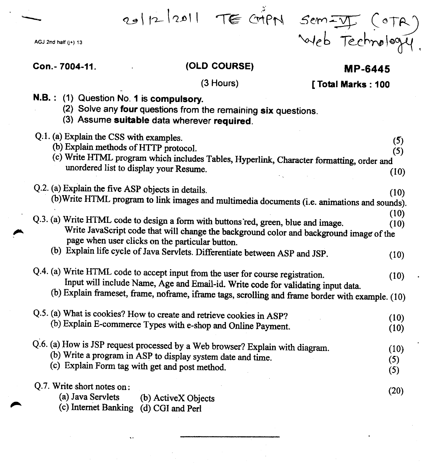AGJ 2nd half (j+) 13

# *.5e'M~* (dT~ web Technology.

### Con. - 7004-11.

### (OLD COURSE)

### **MP-6445**

- (3 Hours) [Total Marks: 100
- N.B.: (1) Question No. 1 is compulsory.
	- (2) Solve any four questions from the remaining six questions.
	- (3) Assume suitable data wherever required.

| Q.1. (a) Explain the CSS with examples.<br>(b) Explain methods of HTTP protocol.                                                                                                               | (5)                |
|------------------------------------------------------------------------------------------------------------------------------------------------------------------------------------------------|--------------------|
| (c) Write HTML program which includes Tables, Hyperlink, Character formatting, order and                                                                                                       | (5)                |
| unordered list to display your Resume.                                                                                                                                                         | (10)               |
| Q.2. (a) Explain the five ASP objects in details.                                                                                                                                              | (10)               |
| (b) Write HTML program to link images and multimedia documents (i.e. animations and sounds).                                                                                                   |                    |
| Q.3. (a) Write HTML code to design a form with buttons red, green, blue and image.                                                                                                             | (10)<br>(10)       |
| Write JavaScript code that will change the background color and background image of the<br>page when user clicks on the particular button.                                                     |                    |
| (b) Explain life cycle of Java Servlets. Differentiate between ASP and JSP.                                                                                                                    | (10)               |
| Q.4. (a) Write HTML code to accept input from the user for course registration.<br>Input will include Name, Age and Email-id. Write code for validating input data.                            | (10)               |
| (b) Explain frameset, frame, noframe, iframe tags, scrolling and frame border with example. (10)                                                                                               |                    |
| Q.5. (a) What is cookies? How to create and retrieve cookies in ASP?<br>(b) Explain E-commerce Types with e-shop and Online Payment.                                                           | (10)<br>(10)       |
| Q.6. (a) How is JSP request processed by a Web browser? Explain with diagram.<br>(b) Write a program in ASP to display system date and time.<br>(c) Explain Form tag with get and post method. | (10)<br>(5)<br>(5) |
| Q.7. Write short notes on:<br>(a) Java Servlets<br>(b) ActiveX Objects<br>(c) Internet Banking (d) CGI and Perl                                                                                | (20)               |